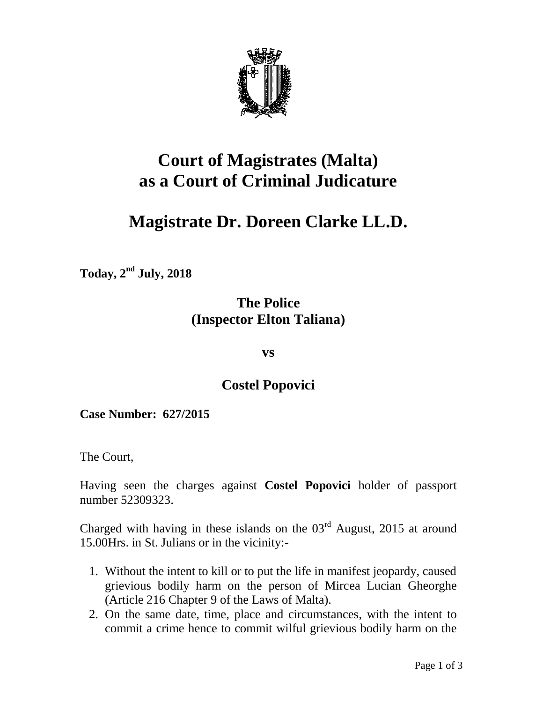

## **Court of Magistrates (Malta) as a Court of Criminal Judicature**

# **Magistrate Dr. Doreen Clarke LL.D.**

 $\mathrm{Today}, 2^{\mathrm{nd}}$  July, 2018

## **The Police (Inspector Elton Taliana)**

**vs**

### **Costel Popovici**

**Case Number: 627/2015**

The Court,

Having seen the charges against **Costel Popovici** holder of passport number 52309323.

Charged with having in these islands on the  $03<sup>rd</sup>$  August, 2015 at around 15.00Hrs. in St. Julians or in the vicinity:-

- 1. Without the intent to kill or to put the life in manifest jeopardy, caused grievious bodily harm on the person of Mircea Lucian Gheorghe (Article 216 Chapter 9 of the Laws of Malta).
- 2. On the same date, time, place and circumstances, with the intent to commit a crime hence to commit wilful grievious bodily harm on the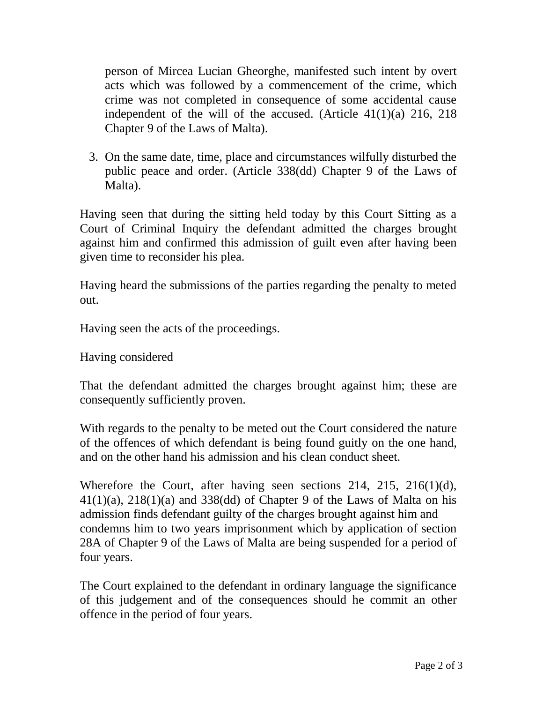person of Mircea Lucian Gheorghe, manifested such intent by overt acts which was followed by a commencement of the crime, which crime was not completed in consequence of some accidental cause independent of the will of the accused. (Article 41(1)(a) 216, 218 Chapter 9 of the Laws of Malta).

3. On the same date, time, place and circumstances wilfully disturbed the public peace and order. (Article 338(dd) Chapter 9 of the Laws of Malta).

Having seen that during the sitting held today by this Court Sitting as a Court of Criminal Inquiry the defendant admitted the charges brought against him and confirmed this admission of guilt even after having been given time to reconsider his plea.

Having heard the submissions of the parties regarding the penalty to meted out.

Having seen the acts of the proceedings.

Having considered

That the defendant admitted the charges brought against him; these are consequently sufficiently proven.

With regards to the penalty to be meted out the Court considered the nature of the offences of which defendant is being found guitly on the one hand, and on the other hand his admission and his clean conduct sheet.

Wherefore the Court, after having seen sections 214, 215, 216(1)(d),  $41(1)(a)$ ,  $218(1)(a)$  and  $338(dd)$  of Chapter 9 of the Laws of Malta on his admission finds defendant guilty of the charges brought against him and condemns him to two years imprisonment which by application of section 28A of Chapter 9 of the Laws of Malta are being suspended for a period of four years.

The Court explained to the defendant in ordinary language the significance of this judgement and of the consequences should he commit an other offence in the period of four years.